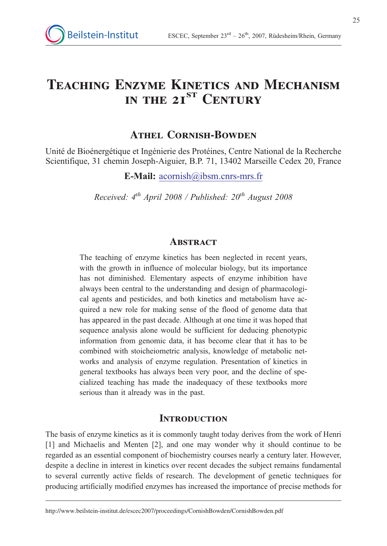# Teaching Enzyme Kinetics and Mechanism IN THE 21<sup>ST</sup> CENTURY

# ATHEL CORNISH-BOWDEN

Unité de Bioénergétique et Ingénierie des Protéines, Centre National de la Recherche Scientifique, 31 chemin Joseph-Aiguier, B.P. 71, 13402 Marseille Cedex 20, France

E-Mail: acornish@ibsm.cnrs-mrs.fr

Received:  $4<sup>th</sup>$  April 2008 / Published:  $20<sup>th</sup>$  August 2008

## **ABSTRACT**

The teaching of enzyme kinetics has been neglected in recent years, with the growth in influence of molecular biology, but its importance has not diminished. Elementary aspects of enzyme inhibition have always been central to the understanding and design of pharmacological agents and pesticides, and both kinetics and metabolism have acquired a new role for making sense of the flood of genome data that has appeared in the past decade. Although at one time it was hoped that sequence analysis alone would be sufficient for deducing phenotypic information from genomic data, it has become clear that it has to be combined with stoicheiometric analysis, knowledge of metabolic networks and analysis of enzyme regulation. Presentation of kinetics in general textbooks has always been very poor, and the decline of specialized teaching has made the inadequacy of these textbooks more serious than it already was in the past.

## **INTRODUCTION**

The basis of enzyme kinetics as it is commonly taught today derives from the work of Henri [1] and Michaelis and Menten [2], and one may wonder why it should continue to be regarded as an essential component of biochemistry courses nearly a century later. However, despite a decline in interest in kinetics over recent decades the subject remains fundamental to several currently active fields of research. The development of genetic techniques for producing artificially modified enzymes has increased the importance of precise methods for

http://www.beilstein-institut.de/escec2007/proceedings/CornishBowden/CornishBowden.pdf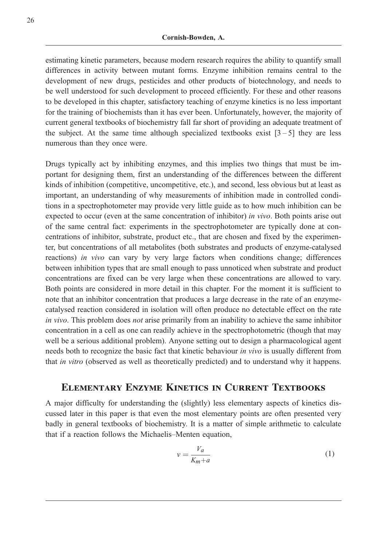estimating kinetic parameters, because modern research requires the ability to quantify small differences in activity between mutant forms. Enzyme inhibition remains central to the development of new drugs, pesticides and other products of biotechnology, and needs to be well understood for such development to proceed efficiently. For these and other reasons to be developed in this chapter, satisfactory teaching of enzyme kinetics is no less important for the training of biochemists than it has ever been. Unfortunately, however, the majority of current general textbooks of biochemistry fall far short of providing an adequate treatment of the subject. At the same time although specialized textbooks exist  $[3-5]$  they are less numerous than they once were.

Drugs typically act by inhibiting enzymes, and this implies two things that must be important for designing them, first an understanding of the differences between the different kinds of inhibition (competitive, uncompetitive, etc.), and second, less obvious but at least as important, an understanding of why measurements of inhibition made in controlled conditions in a spectrophotometer may provide very little guide as to how much inhibition can be expected to occur (even at the same concentration of inhibitor) in vivo. Both points arise out of the same central fact: experiments in the spectrophotometer are typically done at concentrations of inhibitor, substrate, product etc., that are chosen and fixed by the experimenter, but concentrations of all metabolites (both substrates and products of enzyme-catalysed reactions) in vivo can vary by very large factors when conditions change; differences between inhibition types that are small enough to pass unnoticed when substrate and product concentrations are fixed can be very large when these concentrations are allowed to vary. Both points are considered in more detail in this chapter. For the moment it is sufficient to note that an inhibitor concentration that produces a large decrease in the rate of an enzymecatalysed reaction considered in isolation will often produce no detectable effect on the rate in vivo. This problem does not arise primarily from an inability to achieve the same inhibitor concentration in a cell as one can readily achieve in the spectrophotometric (though that may well be a serious additional problem). Anyone setting out to design a pharmacological agent needs both to recognize the basic fact that kinetic behaviour in vivo is usually different from that in vitro (observed as well as theoretically predicted) and to understand why it happens.

# Elementary Enzyme Kinetics in Current Textbooks

A major difficulty for understanding the (slightly) less elementary aspects of kinetics discussed later in this paper is that even the most elementary points are often presented very badly in general textbooks of biochemistry. It is a matter of simple arithmetic to calculate that if a reaction follows the Michaelis–Menten equation,

$$
v = \frac{V_a}{K_m + a} \tag{1}
$$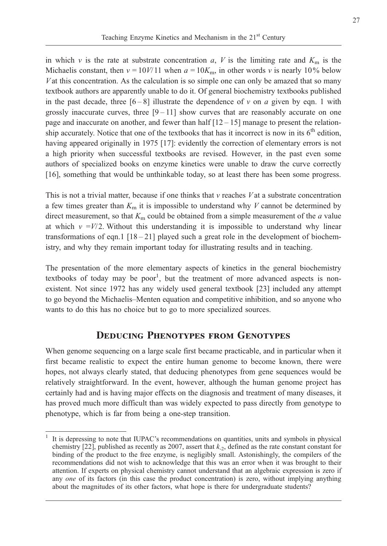in which v is the rate at substrate concentration a, V is the limiting rate and  $K<sub>m</sub>$  is the Michaelis constant, then  $v = 10V/11$  when  $a = 10K_m$ , in other words v is nearly 10% below  $V$  at this concentration. As the calculation is so simple one can only be amazed that so many textbook authors are apparently unable to do it. Of general biochemistry textbooks published in the past decade, three  $[6-8]$  illustrate the dependence of v on a given by eqn. 1 with grossly inaccurate curves, three  $[9 - 11]$  show curves that are reasonably accurate on one page and inaccurate on another, and fewer than half  $[12 - 15]$  manage to present the relationship accurately. Notice that one of the textbooks that has it incorrect is now in its  $6<sup>th</sup>$  edition, having appeared originally in 1975 [17]: evidently the correction of elementary errors is not a high priority when successful textbooks are revised. However, in the past even some authors of specialized books on enzyme kinetics were unable to draw the curve correctly [16], something that would be unthinkable today, so at least there has been some progress.

This is not a trivial matter, because if one thinks that  $\nu$  reaches  $V$  at a substrate concentration a few times greater than  $K<sub>m</sub>$  it is impossible to understand why V cannot be determined by direct measurement, so that  $K<sub>m</sub>$  could be obtained from a simple measurement of the  $a$  value at which  $v = V/2$ . Without this understanding it is impossible to understand why linear transformations of eqn.1  $[18 - 21]$  played such a great role in the development of biochemistry, and why they remain important today for illustrating results and in teaching.

The presentation of the more elementary aspects of kinetics in the general biochemistry textbooks of today may be poor<sup>1</sup>, but the treatment of more advanced aspects is nonexistent. Not since 1972 has any widely used general textbook [23] included any attempt to go beyond the Michaelis–Menten equation and competitive inhibition, and so anyone who wants to do this has no choice but to go to more specialized sources.

## Deducing Phenotypes from Genotypes

When genome sequencing on a large scale first became practicable, and in particular when it first became realistic to expect the entire human genome to become known, there were hopes, not always clearly stated, that deducing phenotypes from gene sequences would be relatively straightforward. In the event, however, although the human genome project has certainly had and is having major effects on the diagnosis and treatment of many diseases, it has proved much more difficult than was widely expected to pass directly from genotype to phenotype, which is far from being a one-step transition.

<sup>1</sup> It is depressing to note that IUPAC's recommendations on quantities, units and symbols in physical chemistry [22], published as recently as 2007, assert that  $k_{-2}$ , defined as the rate constant constant for binding of the product to the free enzyme, is negligibly small. Astonishingly, the compilers of the recommendations did not wish to acknowledge that this was an error when it was brought to their attention. If experts on physical chemistry cannot understand that an algebraic expression is zero if any one of its factors (in this case the product concentration) is zero, without implying anything about the magnitudes of its other factors, what hope is there for undergraduate students?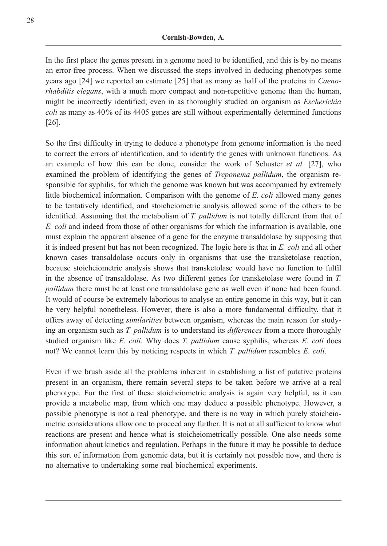In the first place the genes present in a genome need to be identified, and this is by no means an error-free process. When we discussed the steps involved in deducing phenotypes some years ago [24] we reported an estimate [25] that as many as half of the proteins in Caenorhabditis elegans, with a much more compact and non-repetitive genome than the human, might be incorrectly identified; even in as thoroughly studied an organism as Escherichia coli as many as 40% of its 4405 genes are still without experimentally determined functions [26].

So the first difficulty in trying to deduce a phenotype from genome information is the need to correct the errors of identification, and to identify the genes with unknown functions. As an example of how this can be done, consider the work of Schuster et al. [27], who examined the problem of identifying the genes of *Treponema pallidum*, the organism responsible for syphilis, for which the genome was known but was accompanied by extremely little biochemical information. Comparison with the genome of  $E$ . *coli* allowed many genes to be tentatively identified, and stoicheiometric analysis allowed some of the others to be identified. Assuming that the metabolism of T. pallidum is not totally different from that of E. coli and indeed from those of other organisms for which the information is available, one must explain the apparent absence of a gene for the enzyme transaldolase by supposing that it is indeed present but has not been recognized. The logic here is that in E. coli and all other known cases transaldolase occurs only in organisms that use the transketolase reaction, because stoicheiometric analysis shows that transketolase would have no function to fulfil in the absence of transaldolase. As two different genes for transketolase were found in T. pallidum there must be at least one transaldolase gene as well even if none had been found. It would of course be extremely laborious to analyse an entire genome in this way, but it can be very helpful nonetheless. However, there is also a more fundamental difficulty, that it offers away of detecting similarities between organism, whereas the main reason for studying an organism such as T. pallidum is to understand its differences from a more thoroughly studied organism like  $E$ . coli. Why does  $T$ . pallidum cause syphilis, whereas  $E$ . coli does not? We cannot learn this by noticing respects in which T. pallidum resembles E. coli.

Even if we brush aside all the problems inherent in establishing a list of putative proteins present in an organism, there remain several steps to be taken before we arrive at a real phenotype. For the first of these stoicheiometric analysis is again very helpful, as it can provide a metabolic map, from which one may deduce a possible phenotype. However, a possible phenotype is not a real phenotype, and there is no way in which purely stoicheiometric considerations allow one to proceed any further. It is not at all sufficient to know what reactions are present and hence what is stoicheiometrically possible. One also needs some information about kinetics and regulation. Perhaps in the future it may be possible to deduce this sort of information from genomic data, but it is certainly not possible now, and there is no alternative to undertaking some real biochemical experiments.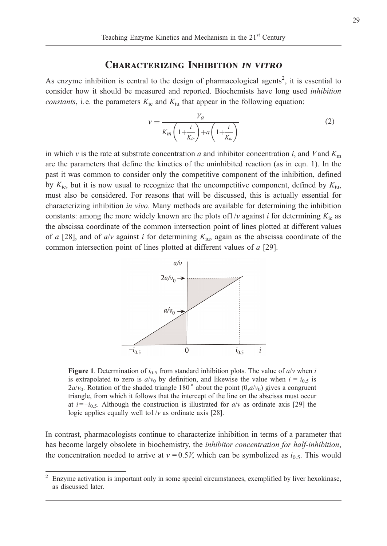#### Characterizing Inhibition in vitro

As enzyme inhibition is central to the design of pharmacological agents<sup>2</sup>, it is essential to consider how it should be measured and reported. Biochemists have long used inhibition constants, i.e. the parameters  $K_{\text{ic}}$  and  $K_{\text{iu}}$  that appear in the following equation:

$$
v = \frac{V_a}{K_m \left(1 + \frac{i}{K_{ic}}\right) + a \left(1 + \frac{i}{K_{iu}}\right)}\tag{2}
$$

in which v is the rate at substrate concentration a and inhibitor concentration i, and V and  $K<sub>m</sub>$ are the parameters that define the kinetics of the uninhibited reaction (as in eqn. 1). In the past it was common to consider only the competitive component of the inhibition, defined by  $K_{\text{ic}}$ , but it is now usual to recognize that the uncompetitive component, defined by  $K_{\text{in}}$ , must also be considered. For reasons that will be discussed, this is actually essential for characterizing inhibition in vivo. Many methods are available for determining the inhibition constants: among the more widely known are the plots of  $1/v$  against i for determining  $K<sub>ic</sub>$  as the abscissa coordinate of the common intersection point of lines plotted at different values of a [28], and of  $a/v$  against i for determining  $K_{\text{in}}$ , again as the abscissa coordinate of the common intersection point of lines plotted at different values of a [29].



Figure 1. Determination of  $i_{0.5}$  from standard inhibition plots. The value of  $a/v$  when i is extrapolated to zero is  $a/v_0$  by definition, and likewise the value when  $i = i_{0.5}$  is  $2a/v_0$ . Rotation of the shaded triangle 180<sup>°</sup> about the point (0,*a/v<sub>0</sub>*) gives a congruent triangle, from which it follows that the intercept of the line on the abscissa must occur at  $i = -i_{0.5}$ . Although the construction is illustrated for  $a/v$  as ordinate axis [29] the logic applies equally well to  $1/v$  as ordinate axis [28].

In contrast, pharmacologists continue to characterize inhibition in terms of a parameter that has become largely obsolete in biochemistry, the *inhibitor concentration for half-inhibition*, the concentration needed to arrive at  $v = 0.5V$ , which can be symbolized as  $i<sub>0.5</sub>$ . This would

<sup>2</sup> Enzyme activation is important only in some special circumstances, exemplified by liver hexokinase, as discussed later.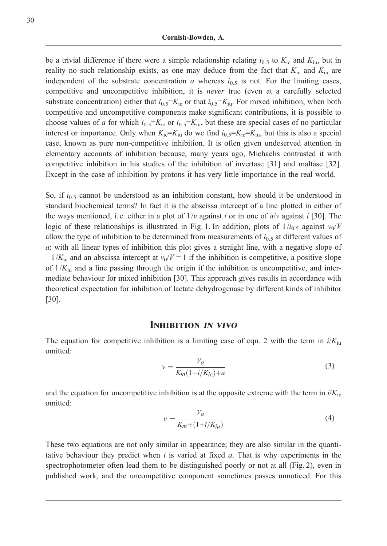be a trivial difference if there were a simple relationship relating  $i_{0.5}$  to  $K_{\text{ic}}$  and  $K_{\text{iu}}$ , but in reality no such relationship exists, as one may deduce from the fact that  $K_{\text{ic}}$  and  $K_{\text{iu}}$  are independent of the substrate concentration a whereas  $i_{0.5}$  is not. For the limiting cases, competitive and uncompetitive inhibition, it is *never* true (even at a carefully selected substrate concentration) either that  $i_{0.5} = K_{\text{ic}}$  or that  $i_{0.5} = K_{\text{iu}}$ . For mixed inhibition, when both competitive and uncompetitive components make significant contributions, it is possible to choose values of a for which  $i_{0.5} = K_{\text{ic}}$  or  $i_{0.5} = K_{\text{iu}}$ , but these are special cases of no particular interest or importance. Only when  $K_{ic}=K_{iu}$  do we find  $i_{0.5}=K_{ic}=K_{iu}$ , but this is also a special case, known as pure non-competitive inhibition. It is often given undeserved attention in elementary accounts of inhibition because, many years ago, Michaelis contrasted it with competitive inhibition in his studies of the inhibition of invertase [31] and maltase [32]. Except in the case of inhibition by protons it has very little importance in the real world.

So, if  $i_{0.5}$  cannot be understood as an inhibition constant, how should it be understood in standard biochemical terms? In fact it is the abscissa intercept of a line plotted in either of the ways mentioned, i.e. either in a plot of  $1/v$  against i or in one of  $a/v$  against i [30]. The logic of these relationships is illustrated in Fig. 1. In addition, plots of  $1/i_{0.5}$  against  $v_0/V$ allow the type of inhibition to be determined from measurements of  $i_{0.5}$  at different values of a: with all linear types of inhibition this plot gives a straight line, with a negative slope of  $-1/K_{\rm ic}$  and an abscissa intercept at  $v_0/V = 1$  if the inhibition is competitive, a positive slope of  $1/K_{\text{in}}$  and a line passing through the origin if the inhibition is uncompetitive, and intermediate behaviour for mixed inhibition [30]. This approach gives results in accordance with theoretical expectation for inhibition of lactate dehydrogenase by different kinds of inhibitor [30].

#### INHIBITION IN VIVO

The equation for competitive inhibition is a limiting case of eqn. 2 with the term in  $i/K_{\text{in}}$ omitted:

$$
v = \frac{V_a}{K_m(1+i/K_{ic})+a} \tag{3}
$$

and the equation for uncompetitive inhibition is at the opposite extreme with the term in  $i/K_{\text{ic}}$ omitted:

$$
v = \frac{V_a}{K_m + (1 + i/K_{iu})}
$$
\n<sup>(4)</sup>

These two equations are not only similar in appearance; they are also similar in the quantitative behaviour they predict when  $i$  is varied at fixed  $a$ . That is why experiments in the spectrophotometer often lead them to be distinguished poorly or not at all (Fig. 2), even in published work, and the uncompetitive component sometimes passes unnoticed. For this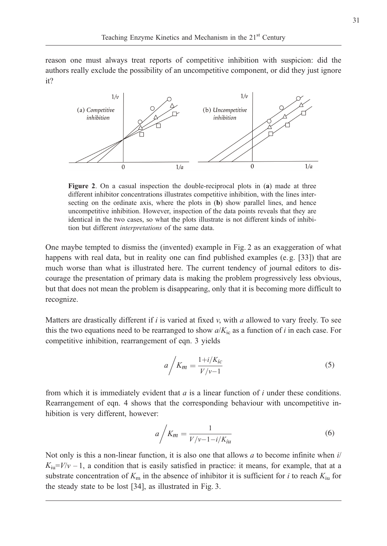reason one must always treat reports of competitive inhibition with suspicion: did the authors really exclude the possibility of an uncompetitive component, or did they just ignore it?



Figure 2. On a casual inspection the double-reciprocal plots in (a) made at three different inhibitor concentrations illustrates competitive inhibition, with the lines intersecting on the ordinate axis, where the plots in  $(b)$  show parallel lines, and hence uncompetitive inhibition. However, inspection of the data points reveals that they are identical in the two cases, so what the plots illustrate is not different kinds of inhibition but different interpretations of the same data.

One maybe tempted to dismiss the (invented) example in Fig. 2 as an exaggeration of what happens with real data, but in reality one can find published examples (e.g. [33]) that are much worse than what is illustrated here. The current tendency of journal editors to discourage the presentation of primary data is making the problem progressively less obvious, but that does not mean the problem is disappearing, only that it is becoming more difficult to recognize.

Matters are drastically different if i is varied at fixed  $v$ , with a allowed to vary freely. To see this the two equations need to be rearranged to show  $a/K_{ic}$  as a function of i in each case. For competitive inhibition, rearrangement of eqn. 3 yields

$$
a \bigg/ K_m = \frac{1 + i/K_{ic}}{V/v - 1} \tag{5}
$$

from which it is immediately evident that  $a$  is a linear function of  $i$  under these conditions. Rearrangement of eqn. 4 shows that the corresponding behaviour with uncompetitive inhibition is very different, however:

$$
a \bigg/ K_m = \frac{1}{V/v - 1 - i/K_{iu}} \tag{6}
$$

Not only is this a non-linear function, it is also one that allows  $a$  to become infinite when  $i/$  $K_{\text{iu}}=V/v-1$ , a condition that is easily satisfied in practice: it means, for example, that at a substrate concentration of  $K<sub>m</sub>$  in the absence of inhibitor it is sufficient for *i* to reach  $K<sub>iu</sub>$  for the steady state to be lost [34], as illustrated in Fig. 3.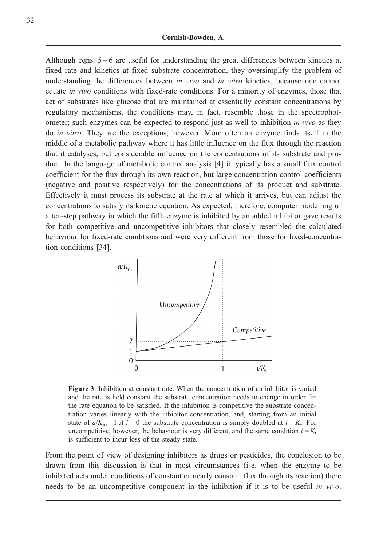Although eqns. 5 – 6 are useful for understanding the great differences between kinetics at fixed rate and kinetics at fixed substrate concentration, they oversimplify the problem of understanding the differences between *in vivo* and *in vitro* kinetics, because one cannot equate in vivo conditions with fixed-rate conditions. For a minority of enzymes, those that act of substrates like glucose that are maintained at essentially constant concentrations by regulatory mechanisms, the conditions may, in fact, resemble those in the spectrophotometer; such enzymes can be expected to respond just as well to inhibition in vivo as they do in vitro. They are the exceptions, however. More often an enzyme finds itself in the middle of a metabolic pathway where it has little influence on the flux through the reaction that it catalyses, but considerable influence on the concentrations of its substrate and product. In the language of metabolic control analysis [4] it typically has a small flux control coefficient for the flux through its own reaction, but large concentration control coefficients (negative and positive respectively) for the concentrations of its product and substrate. Effectively it must process its substrate at the rate at which it arrives, but can adjust the concentrations to satisfy its kinetic equation. As expected, therefore, computer modelling of a ten-step pathway in which the fifth enzyme is inhibited by an added inhibitor gave results for both competitive and uncompetitive inhibitors that closely resembled the calculated behaviour for fixed-rate conditions and were very different from those for fixed-concentration conditions [34].



Figure 3. Inhibition at constant rate. When the concentration of an inhibitor is varied and the rate is held constant the substrate concentration needs to change in order for the rate equation to be satisfied. If the inhibition is competitive the substrate concentration varies linearly with the inhibitor concentration, and, starting from an initial state of  $a/K_m = 1$  at  $i = 0$  the substrate concentration is simply doubled at  $i = Ki$ . For uncompetitive, however, the behaviour is very different, and the same condition  $i = K_i$ is sufficient to incur loss of the steady state.

From the point of view of designing inhibitors as drugs or pesticides, the conclusion to be drawn from this discussion is that in most circumstances (i. e. when the enzyme to be inhibited acts under conditions of constant or nearly constant flux through its reaction) there needs to be an uncompetitive component in the inhibition if it is to be useful in vivo.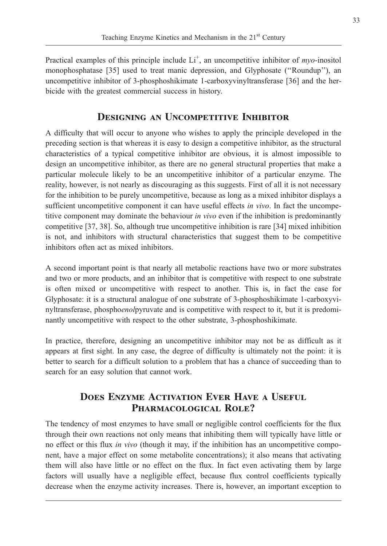Practical examples of this principle include  $Li^+$ , an uncompetitive inhibitor of *myo*-inositol monophosphatase [35] used to treat manic depression, and Glyphosate (''Roundup''), an uncompetitive inhibitor of 3-phosphoshikimate 1-carboxyvinyltransferase [36] and the herbicide with the greatest commercial success in history.

# DESIGNING AN UNCOMPETITIVE INHIBITOR

A difficulty that will occur to anyone who wishes to apply the principle developed in the preceding section is that whereas it is easy to design a competitive inhibitor, as the structural characteristics of a typical competitive inhibitor are obvious, it is almost impossible to design an uncompetitive inhibitor, as there are no general structural properties that make a particular molecule likely to be an uncompetitive inhibitor of a particular enzyme. The reality, however, is not nearly as discouraging as this suggests. First of all it is not necessary for the inhibition to be purely uncompetitive, because as long as a mixed inhibitor displays a sufficient uncompetitive component it can have useful effects in vivo. In fact the uncompetitive component may dominate the behaviour *in vivo* even if the inhibition is predominantly competitive [37, 38]. So, although true uncompetitive inhibition is rare [34] mixed inhibition is not, and inhibitors with structural characteristics that suggest them to be competitive inhibitors often act as mixed inhibitors.

A second important point is that nearly all metabolic reactions have two or more substrates and two or more products, and an inhibitor that is competitive with respect to one substrate is often mixed or uncompetitive with respect to another. This is, in fact the case for Glyphosate: it is a structural analogue of one substrate of 3-phosphoshikimate 1-carboxyvinyltransferase, phosphoenolpyruvate and is competitive with respect to it, but it is predominantly uncompetitive with respect to the other substrate, 3-phosphoshikimate.

In practice, therefore, designing an uncompetitive inhibitor may not be as difficult as it appears at first sight. In any case, the degree of difficulty is ultimately not the point: it is better to search for a difficult solution to a problem that has a chance of succeeding than to search for an easy solution that cannot work.

# Does Enzyme Activation Ever Have a Useful PHARMACOLOGICAL ROLE?

The tendency of most enzymes to have small or negligible control coefficients for the flux through their own reactions not only means that inhibiting them will typically have little or no effect or this flux in vivo (though it may, if the inhibition has an uncompetitive component, have a major effect on some metabolite concentrations); it also means that activating them will also have little or no effect on the flux. In fact even activating them by large factors will usually have a negligible effect, because flux control coefficients typically decrease when the enzyme activity increases. There is, however, an important exception to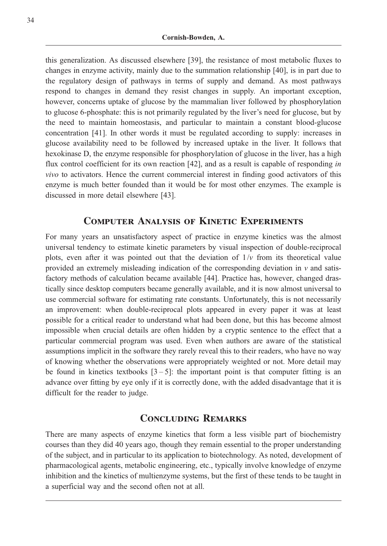this generalization. As discussed elsewhere [39], the resistance of most metabolic fluxes to changes in enzyme activity, mainly due to the summation relationship [40], is in part due to the regulatory design of pathways in terms of supply and demand. As most pathways respond to changes in demand they resist changes in supply. An important exception, however, concerns uptake of glucose by the mammalian liver followed by phosphorylation to glucose 6-phosphate: this is not primarily regulated by the liver's need for glucose, but by the need to maintain homeostasis, and particular to maintain a constant blood-glucose concentration [41]. In other words it must be regulated according to supply: increases in glucose availability need to be followed by increased uptake in the liver. It follows that hexokinase D, the enzyme responsible for phosphorylation of glucose in the liver, has a high flux control coefficient for its own reaction [42], and as a result is capable of responding in vivo to activators. Hence the current commercial interest in finding good activators of this enzyme is much better founded than it would be for most other enzymes. The example is discussed in more detail elsewhere [43].

## Computer Analysis of Kinetic Experiments

For many years an unsatisfactory aspect of practice in enzyme kinetics was the almost universal tendency to estimate kinetic parameters by visual inspection of double-reciprocal plots, even after it was pointed out that the deviation of  $1/v$  from its theoretical value provided an extremely misleading indication of the corresponding deviation in  $\nu$  and satisfactory methods of calculation became available [44]. Practice has, however, changed drastically since desktop computers became generally available, and it is now almost universal to use commercial software for estimating rate constants. Unfortunately, this is not necessarily an improvement: when double-reciprocal plots appeared in every paper it was at least possible for a critical reader to understand what had been done, but this has become almost impossible when crucial details are often hidden by a cryptic sentence to the effect that a particular commercial program was used. Even when authors are aware of the statistical assumptions implicit in the software they rarely reveal this to their readers, who have no way of knowing whether the observations were appropriately weighted or not. More detail may be found in kinetics textbooks  $[3-5]$ : the important point is that computer fitting is an advance over fitting by eye only if it is correctly done, with the added disadvantage that it is difficult for the reader to judge.

## CONCLUDING REMARKS

There are many aspects of enzyme kinetics that form a less visible part of biochemistry courses than they did 40 years ago, though they remain essential to the proper understanding of the subject, and in particular to its application to biotechnology. As noted, development of pharmacological agents, metabolic engineering, etc., typically involve knowledge of enzyme inhibition and the kinetics of multienzyme systems, but the first of these tends to be taught in a superficial way and the second often not at all.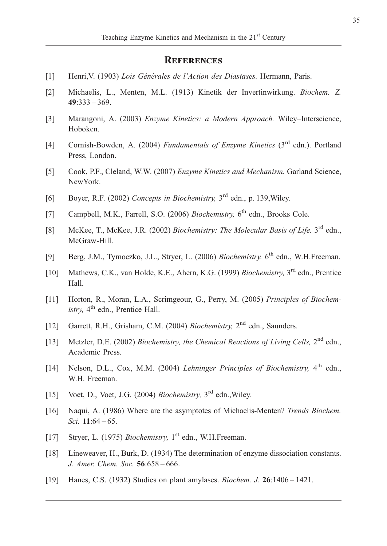#### **REFERENCES**

- [1] Henri, V. (1903) Lois Générales de l'Action des Diastases. Hermann, Paris.
- [2] Michaelis, L., Menten, M.L. (1913) Kinetik der Invertinwirkung. Biochem. Z.  $49:333 - 369.$
- [3] Marangoni, A. (2003) Enzyme Kinetics: a Modern Approach. Wiley–Interscience, Hoboken.
- [4] Cornish-Bowden, A. (2004) Fundamentals of Enzyme Kinetics (3<sup>rd</sup> edn.). Portland Press, London.
- [5] Cook, P.F., Cleland, W.W. (2007) Enzyme Kinetics and Mechanism. Garland Science, NewYork.
- [6] Boyer, R.F. (2002) Concepts in Biochemistry,  $3<sup>rd</sup>$  edn., p. 139, Wiley.
- [7] Campbell, M.K., Farrell, S.O. (2006) *Biochemistry*, 6<sup>th</sup> edn., Brooks Cole.
- [8] McKee, T., McKee, J.R. (2002) Biochemistry: The Molecular Basis of Life. 3<sup>rd</sup> edn., McGraw-Hill.
- [9] Berg, J.M., Tymoczko, J.L., Stryer, L. (2006) Biochemistry. 6<sup>th</sup> edn., W.H.Freeman.
- [10] Mathews, C.K., van Holde, K.E., Ahern, K.G. (1999) Biochemistry, 3<sup>rd</sup> edn., Prentice Hall.
- [11] Horton, R., Moran, L.A., Scrimgeour, G., Perry, M. (2005) Principles of Biochem $istrv$ ,  $4<sup>th</sup>$  edn., Prentice Hall.
- [12] Garrett, R.H., Grisham, C.M. (2004) Biochemistry, 2<sup>nd</sup> edn., Saunders.
- [13] Metzler, D.E. (2002) Biochemistry, the Chemical Reactions of Living Cells, 2<sup>nd</sup> edn., Academic Press.
- [14] Nelson, D.L., Cox, M.M. (2004) *Lehninger Principles of Biochemistry*, 4<sup>th</sup> edn., W.H. Freeman.
- [15] Voet, D., Voet, J.G. (2004) *Biochemistry*,  $3<sup>rd</sup>$  edn., Wiley.
- [16] Naqui, A. (1986) Where are the asymptotes of Michaelis-Menten? Trends Biochem. Sci. 11:64 – 65.
- [17] Stryer, L. (1975) *Biochemistry*,  $1<sup>st</sup>$  edn., W.H.Freeman.
- [18] Lineweaver, H., Burk, D. (1934) The determination of enzyme dissociation constants. J. Amer. Chem. Soc. 56:658 – 666.
- [19] Hanes, C.S. (1932) Studies on plant amylases. Biochem. J. 26:1406 1421.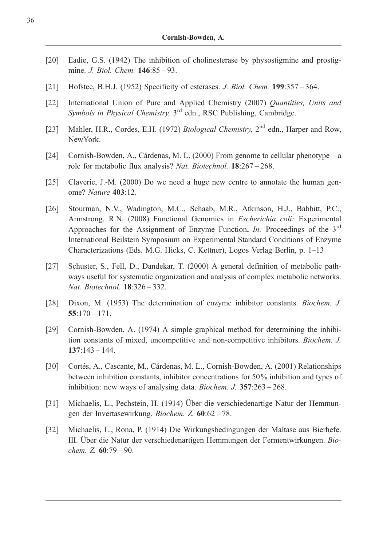- [20] Eadie, G.S. (1942) The inhibition of cholinesterase by physostigmine and prostigmine. *J. Biol. Chem.* **146**:85 – 93.
- [21] Hofstee, B.H.J. (1952) Specificity of esterases. *J. Biol. Chem.* **199**:357 364.
- [22] International Union of Pure and Applied Chemistry (2007) Quantities, Units and Symbols in Physical Chemistry, 3<sup>rd</sup> edn., RSC Publishing, Cambridge.
- [23] Mahler, H.R., Cordes, E.H. (1972) Biological Chemistry, 2<sup>nd</sup> edn., Harper and Row, NewYork.
- [24] Cornish-Bowden, A., Cárdenas, M. L. (2000) From genome to cellular phenotype a role for metabolic flux analysis? Nat. Biotechnol. 18:267 – 268.
- [25] Claverie, J.-M. (2000) Do we need a huge new centre to annotate the human genome? Nature 403:12.
- [26] Stourman, N.V., Wadington, M.C., Schaab, M.R., Atkinson, H.J., Babbitt, P.C., Armstrong, R.N. (2008) Functional Genomics in Escherichia coli: Experimental Approaches for the Assignment of Enzyme Function. In: Proceedings of the  $3<sup>rd</sup>$ International Beilstein Symposium on Experimental Standard Conditions of Enzyme Characterizations (Eds. M.G. Hicks, C. Kettner), Logos Verlag Berlin, p. 1–13
- [27] Schuster, S., Fell, D., Dandekar, T. (2000) A general definition of metabolic pathways useful for systematic organization and analysis of complex metabolic networks. Nat. Biotechnol. 18:326 – 332.
- [28] Dixon, M. (1953) The determination of enzyme inhibitor constants. Biochem. J.  $55:170 - 171.$
- [29] Cornish-Bowden, A. (1974) A simple graphical method for determining the inhibition constants of mixed, uncompetitive and non-competitive inhibitors. Biochem. J. 137:143 – 144.
- [30] Cortés, A., Cascante, M., Cárdenas, M. L., Cornish-Bowden, A. (2001) Relationships between inhibition constants, inhibitor concentrations for 50% inhibition and types of inhibition: new ways of analysing data. Biochem. J. 357:263 – 268.
- [31] Michaelis, L., Pechstein, H. (1914) Über die verschiedenartige Natur der Hemmungen der Invertasewirkung. Biochem. Z. 60:62 – 78.
- [32] Michaelis, L., Rona, P. (1914) Die Wirkungsbedingungen der Maltase aus Bierhefe. III. Über die Natur der verschiedenartigen Hemmungen der Fermentwirkungen. Biochem. Z. 60:79 – 90.